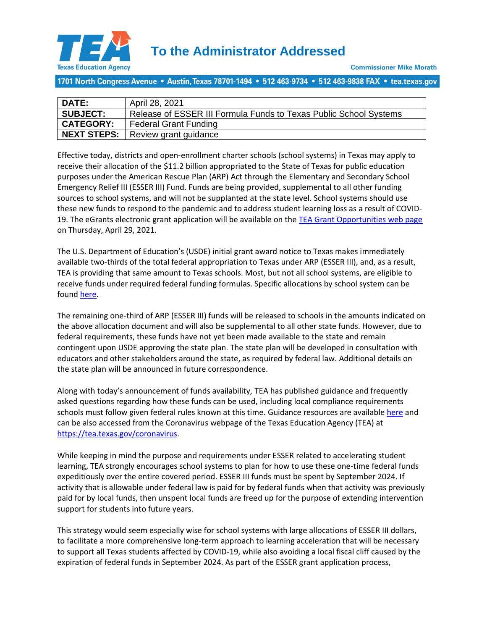

1701 North Congress Avenue • Austin, Texas 78701-1494 • 512 463-9734 • 512 463-9838 FAX • tea.texas.gov

| DATE:            | April 28, 2021                                                    |
|------------------|-------------------------------------------------------------------|
| <b>SUBJECT:</b>  | Release of ESSER III Formula Funds to Texas Public School Systems |
| <b>CATEGORY:</b> | <b>Federal Grant Funding</b>                                      |
|                  | NEXT STEPS:   Review grant guidance                               |

Effective today, districts and open-enrollment charter schools (school systems) in Texas may apply to receive their allocation of the \$11.2 billion appropriated to the State of Texas for public education purposes under the American Rescue Plan (ARP) Act through the Elementary and Secondary School Emergency Relief III (ESSER III) Fund. Funds are being provided, supplemental to all other funding sources to school systems, and will not be supplanted at the state level. School systems should use these new funds to respond to the pandemic and to address student learning loss as a result of COVID-19. The eGrants electronic grant application will be available on th[e TEA Grant Opportunities web page](https://tea4avalonzo.tea.state.tx.us/GrantOpportunities/forms/GrantProgramSearch.aspx) on Thursday, April 29, 2021.

The U.S. Department of Education's (USDE) initial grant award notice to Texas makes immediately available two-thirds of the total federal appropriation to Texas under ARP (ESSER III), and, as a result, TEA is providing that same amount to Texas schools. Most, but not all school systems, are eligible to receive funds under required federal funding formulas. Specific allocations by school system can be found [here.](https://tea.texas.gov/sites/default/files/covid/2020-2021-ARP-Act-ESSER-III-Allocation-Amounts-by-LEA.pdf)

The remaining one-third of ARP (ESSER III) funds will be released to schools in the amounts indicated on the above allocation document and will also be supplemental to all other state funds. However, due to federal requirements, these funds have not yet been made available to the state and remain contingent upon USDE approving the state plan. The state plan will be developed in consultation with educators and other stakeholders around the state, as required by federal law. Additional details on the state plan will be announced in future correspondence.

Along with today's announcement of funds availability, TEA has published guidance and frequently asked questions regarding how these funds can be used, including local compliance requirements schools must follow given federal rules known at this time. Guidance resources are available [here](https://app.smartsheet.com/b/publish?EQBCT=f4b5d82938764f1f81573845021e58ed) and can be also accessed from the Coronavirus webpage of the Texas Education Agency (TEA) at [https://tea.texas.gov/coronavirus.](https://tea.texas.gov/coronavirus)

While keeping in mind the purpose and requirements under ESSER related to accelerating student learning, TEA strongly encourages school systems to plan for how to use these one-time federal funds expeditiously over the entire covered period. ESSER III funds must be spent by September 2024. If activity that is allowable under federal law is paid for by federal funds when that activity was previously paid for by local funds, then unspent local funds are freed up for the purpose of extending intervention support for students into future years.

This strategy would seem especially wise for school systems with large allocations of ESSER III dollars, to facilitate a more comprehensive long-term approach to learning acceleration that will be necessary to support all Texas students affected by COVID-19, while also avoiding a local fiscal cliff caused by the expiration of federal funds in September 2024. As part of the ESSER grant application process,